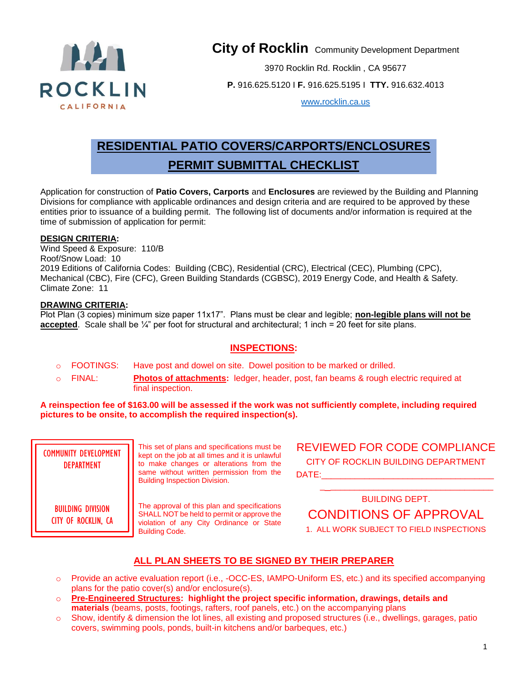

**City of Rocklin** Community Development Department

3970 Rocklin Rd. Rocklin , CA 95677

**P.** 916.625.5120 I **F.** 916.625.5195 I **TTY.** 916.632.4013

www**.**[rocklin.ca.us](http://www.rocklin.ca.us/)

# **RESIDENTIAL PATIO COVERS/CARPORTS/ENCLOSURES PERMIT SUBMITTAL CHECKLIST**

Application for construction of **Patio Covers, Carports** and **Enclosures** are reviewed by the Building and Planning Divisions for compliance with applicable ordinances and design criteria and are required to be approved by these entities prior to issuance of a building permit. The following list of documents and/or information is required at the time of submission of application for permit:

#### **DESIGN CRITERIA:**

Wind Speed & Exposure: 110/B Roof/Snow Load: 10 2019 Editions of California Codes: Building (CBC), Residential (CRC), Electrical (CEC), Plumbing (CPC), Mechanical (CBC), Fire (CFC), Green Building Standards (CGBSC), 2019 Energy Code, and Health & Safety. Climate Zone: 11

#### **DRAWING CRITERIA:**

Plot Plan (3 copies) minimum size paper 11x17". Plans must be clear and legible; **non-legible plans will not be accepted**. Scale shall be  $\frac{1}{4}$ " per foot for structural and architectural; 1 inch = 20 feet for site plans.

#### **INSPECTIONS:**

- o FOOTINGS: Have post and dowel on site. Dowel position to be marked or drilled.
- o FINAL: **Photos of attachments:** ledger, header, post, fan beams & rough electric required at final inspection.

**A reinspection fee of \$163.00 will be assessed if the work was not sufficiently complete, including required pictures to be onsite, to accomplish the required inspection(s).**

| <b>COMMUNITY DEVELOPMENT</b><br><b>DEPARTMENT</b> | This set of plans and specifications must be<br>kept on the job at all times and it is unlawful<br>to make changes or alterations from the<br>same without written permission from the<br><b>Building Inspection Division.</b> | <b>REVIEWED FOR CODE COMPLIANCE</b><br>CITY OF ROCKLIN BUILDING DEPARTMENT<br>DATE:                |
|---------------------------------------------------|--------------------------------------------------------------------------------------------------------------------------------------------------------------------------------------------------------------------------------|----------------------------------------------------------------------------------------------------|
| <b>BUILDING DIVISION</b><br>CITY OF ROCKLIN, CA   | The approval of this plan and specifications<br>SHALL NOT be held to permit or approve the<br>violation of any City Ordinance or State<br><b>Building Code.</b>                                                                | <b>BUILDING DEPT.</b><br><b>CONDITIONS OF APPROVAL</b><br>1. ALL WORK SUBJECT TO FIELD INSPECTIONS |

### **ALL PLAN SHEETS TO BE SIGNED BY THEIR PREPARER**

- o Provide an active evaluation report (i.e., -OCC-ES, IAMPO-Uniform ES, etc.) and its specified accompanying plans for the patio cover(s) and/or enclosure(s).
- o **Pre-Engineered Structures: highlight the project specific information, drawings, details and materials** (beams, posts, footings, rafters, roof panels, etc.) on the accompanying plans
- o Show, identify & dimension the lot lines, all existing and proposed structures (i.e., dwellings, garages, patio covers, swimming pools, ponds, built-in kitchens and/or barbeques, etc.)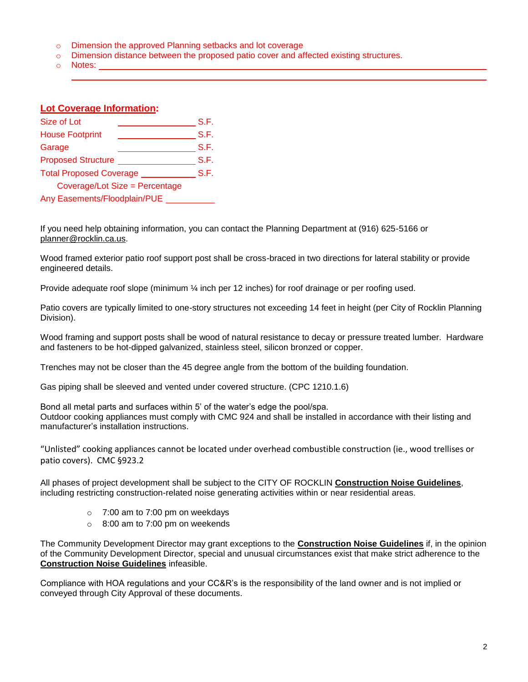- o Dimension the approved Planning setbacks and lot coverage
- o Dimension distance between the proposed patio cover and affected existing structures.
- o Notes:

#### **Lot Coverage Information:**

| Size of Lot                    | S.F. |  |
|--------------------------------|------|--|
| <b>House Footprint</b>         | S.F. |  |
| Garage                         | S.F. |  |
| <b>Proposed Structure</b>      | S.F. |  |
| <b>Total Proposed Coverage</b> |      |  |
| Coverage/Lot Size = Percentage |      |  |
| Any Easements/Floodplain/PUE   |      |  |

If you need help obtaining information, you can contact the Planning Department at (916) 625-5166 or [planner@rocklin.ca.us.](mailto:planner@rocklin.ca.us)

Wood framed exterior patio roof support post shall be cross-braced in two directions for lateral stability or provide engineered details.

Provide adequate roof slope (minimum ¼ inch per 12 inches) for roof drainage or per roofing used.

Patio covers are typically limited to one-story structures not exceeding 14 feet in height (per City of Rocklin Planning Division).

Wood framing and support posts shall be wood of natural resistance to decay or pressure treated lumber. Hardware and fasteners to be hot-dipped galvanized, stainless steel, silicon bronzed or copper.

Trenches may not be closer than the 45 degree angle from the bottom of the building foundation.

Gas piping shall be sleeved and vented under covered structure. (CPC 1210.1.6)

Bond all metal parts and surfaces within 5' of the water's edge the pool/spa. Outdoor cooking appliances must comply with CMC 924 and shall be installed in accordance with their listing and manufacturer's installation instructions.

"Unlisted" cooking appliances cannot be located under overhead combustible construction (ie., wood trellises or patio covers). CMC §923.2

All phases of project development shall be subject to the CITY OF ROCKLIN **Construction Noise Guidelines**, including restricting construction-related noise generating activities within or near residential areas.

- $\circ$  7:00 am to 7:00 pm on weekdays
- $\circ$  8:00 am to 7:00 pm on weekends

The Community Development Director may grant exceptions to the **Construction Noise Guidelines** if, in the opinion of the Community Development Director, special and unusual circumstances exist that make strict adherence to the **Construction Noise Guidelines** infeasible.

Compliance with HOA regulations and your CC&R's is the responsibility of the land owner and is not implied or conveyed through City Approval of these documents.